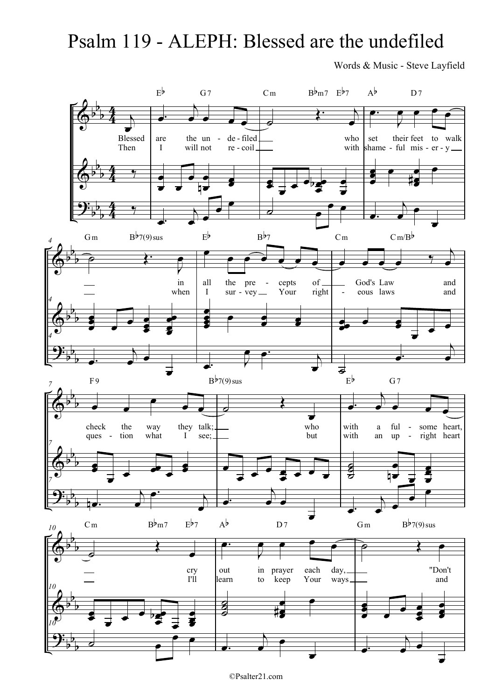## Psalm 119 - ALEPH: Blessed are the undefiled

Words & Music - Steve Layfield



©Psalter21.com